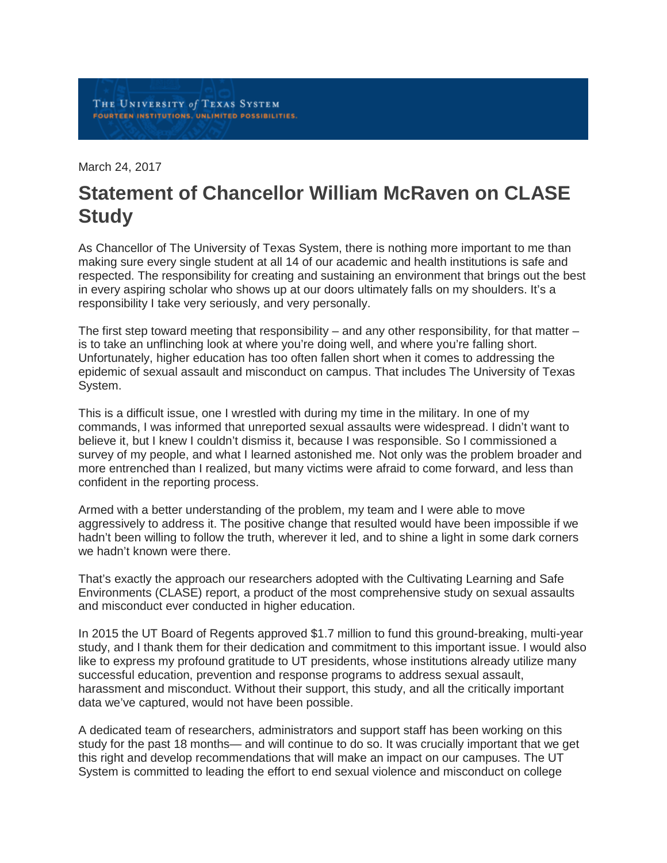March 24, 2017

## **Statement of Chancellor William McRaven on CLASE Study**

As Chancellor of The University of Texas System, there is nothing more important to me than making sure every single student at all 14 of our academic and health institutions is safe and respected. The responsibility for creating and sustaining an environment that brings out the best in every aspiring scholar who shows up at our doors ultimately falls on my shoulders. It's a responsibility I take very seriously, and very personally.

The first step toward meeting that responsibility – and any other responsibility, for that matter – is to take an unflinching look at where you're doing well, and where you're falling short. Unfortunately, higher education has too often fallen short when it comes to addressing the epidemic of sexual assault and misconduct on campus. That includes The University of Texas System.

This is a difficult issue, one I wrestled with during my time in the military. In one of my commands, I was informed that unreported sexual assaults were widespread. I didn't want to believe it, but I knew I couldn't dismiss it, because I was responsible. So I commissioned a survey of my people, and what I learned astonished me. Not only was the problem broader and more entrenched than I realized, but many victims were afraid to come forward, and less than confident in the reporting process.

Armed with a better understanding of the problem, my team and I were able to move aggressively to address it. The positive change that resulted would have been impossible if we hadn't been willing to follow the truth, wherever it led, and to shine a light in some dark corners we hadn't known were there.

That's exactly the approach our researchers adopted with the Cultivating Learning and Safe Environments (CLASE) report, a product of the most comprehensive study on sexual assaults and misconduct ever conducted in higher education.

In 2015 the UT Board of Regents approved \$1.7 million to fund this ground-breaking, multi-year study, and I thank them for their dedication and commitment to this important issue. I would also like to express my profound gratitude to UT presidents, whose institutions already utilize many successful education, prevention and response programs to address sexual assault, harassment and misconduct. Without their support, this study, and all the critically important data we've captured, would not have been possible.

A dedicated team of researchers, administrators and support staff has been working on this study for the past 18 months— and will continue to do so. It was crucially important that we get this right and develop recommendations that will make an impact on our campuses. The UT System is committed to leading the effort to end sexual violence and misconduct on college